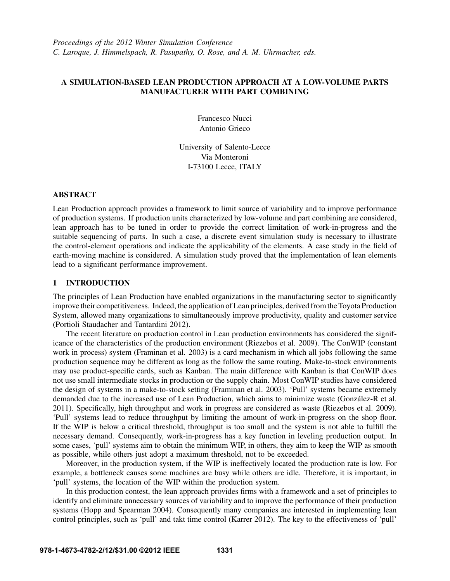# A SIMULATION-BASED LEAN PRODUCTION APPROACH AT A LOW-VOLUME PARTS MANUFACTURER WITH PART COMBINING

Francesco Nucci Antonio Grieco

University of Salento-Lecce Via Monteroni I-73100 Lecce, ITALY

#### ABSTRACT

Lean Production approach provides a framework to limit source of variability and to improve performance of production systems. If production units characterized by low-volume and part combining are considered, lean approach has to be tuned in order to provide the correct limitation of work-in-progress and the suitable sequencing of parts. In such a case, a discrete event simulation study is necessary to illustrate the control-element operations and indicate the applicability of the elements. A case study in the field of earth-moving machine is considered. A simulation study proved that the implementation of lean elements lead to a significant performance improvement.

## 1 INTRODUCTION

The principles of Lean Production have enabled organizations in the manufacturing sector to significantly improve their competitiveness. Indeed, the application of Lean principles, derived from the Toyota Production System, allowed many organizations to simultaneously improve productivity, quality and customer service (Portioli Staudacher and Tantardini 2012).

The recent literature on production control in Lean production environments has considered the significance of the characteristics of the production environment (Riezebos et al. 2009). The ConWIP (constant work in process) system (Framinan et al. 2003) is a card mechanism in which all jobs following the same production sequence may be different as long as the follow the same routing. Make-to-stock environments may use product-specific cards, such as Kanban. The main difference with Kanban is that ConWIP does not use small intermediate stocks in production or the supply chain. Most ConWIP studies have considered the design of systems in a make-to-stock setting (Framinan et al. 2003). 'Pull' systems became extremely demanded due to the increased use of Lean Production, which aims to minimize waste (González-R et al. 2011). Specifically, high throughput and work in progress are considered as waste (Riezebos et al. 2009). 'Pull' systems lead to reduce throughput by limiting the amount of work-in-progress on the shop floor. If the WIP is below a critical threshold, throughput is too small and the system is not able to fulfill the necessary demand. Consequently, work-in-progress has a key function in leveling production output. In some cases, 'pull' systems aim to obtain the minimum WIP, in others, they aim to keep the WIP as smooth as possible, while others just adopt a maximum threshold, not to be exceeded.

Moreover, in the production system, if the WIP is ineffectively located the production rate is low. For example, a bottleneck causes some machines are busy while others are idle. Therefore, it is important, in 'pull' systems, the location of the WIP within the production system.

In this production contest, the lean approach provides firms with a framework and a set of principles to identify and eliminate unnecessary sources of variability and to improve the performance of their production systems (Hopp and Spearman 2004). Consequently many companies are interested in implementing lean control principles, such as 'pull' and takt time control (Karrer 2012). The key to the effectiveness of 'pull'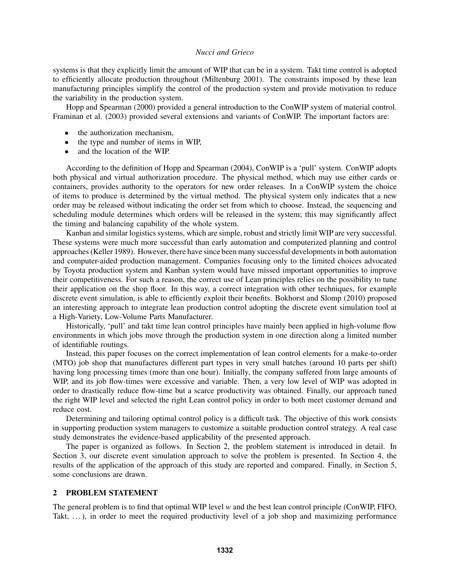systems is that they explicitly limit the amount of WIP that can be in a system. Takt time control is adopted to efficiently allocate production throughout (Miltenburg 2001). The constraints imposed by these lean manufacturing principles simplify the control of the production system and provide motivation to reduce the variability in the production system.

Hopp and Spearman (2000) provided a general introduction to the ConWIP system of material control. Framinan et al. (2003) provided several extensions and variants of ConWIP. The important factors are:

- the authorization mechanism,
- the type and number of items in WIP,
- and the location of the WIP.

According to the definition of Hopp and Spearman (2004), ConWIP is a 'pull' system. ConWIP adopts both physical and virtual authorization procedure. The physical method, which may use either cards or containers, provides authority to the operators for new order releases. In a ConWIP system the choice of items to produce is determined by the virtual method. The physical system only indicates that a new order may be released without indicating the order set from which to choose. Instead, the sequencing and scheduling module determines which orders will be released in the system; this may significantly affect the timing and balancing capability of the whole system.

Kanban and similar logistics systems, which are simple, robust and strictly limit WIP are very successful. These systems were much more successful than early automation and computerized planning and control approaches (Keller 1989). However, there have since been many successful developments in both automation and computer-aided production management. Companies focusing only to the limited choices advocated by Toyota production system and Kanban system would have missed important opportunities to improve their competitiveness. For such a reason, the correct use of Lean principles relies on the possibility to tune their application on the shop floor. In this way, a correct integration with other techniques, for example discrete event simulation, is able to efficiently exploit their benefits. Bokhorst and Slomp (2010) proposed an interesting approach to integrate lean production control adopting the discrete event simulation tool at a High-Variety, Low-Volume Parts Manufacturer.

Historically, 'pull' and takt time lean control principles have mainly been applied in high-volume flow environments in which jobs move through the production system in one direction along a limited number of identifiable routings.

Instead, this paper focuses on the correct implementation of lean control elements for a make-to-order (MTO) job shop that manufactures different part types in very small batches (around 10 parts per shift) having long processing times (more than one hour). Initially, the company suffered from large amounts of WIP, and its job flow-times were excessive and variable. Then, a very low level of WIP was adopted in order to drastically reduce flow-time but a scarce productivity was obtained. Finally, our approach tuned the right WIP level and selected the right Lean control policy in order to both meet customer demand and reduce cost.

Determining and tailoring optimal control policy is a difficult task. The objective of this work consists in supporting production system managers to customize a suitable production control strategy. A real case study demonstrates the evidence-based applicability of the presented approach.

The paper is organized as follows. In Section 2, the problem statement is introduced in detail. In Section 3, our discrete event simulation approach to solve the problem is presented. In Section 4, the results of the application of the approach of this study are reported and compared. Finally, in Section 5, some conclusions are drawn.

# 2 PROBLEM STATEMENT

The general problem is to find that optimal WIP level *w* and the best lean control principle (ConWIP, FIFO, Takt,  $\ldots$ ), in order to meet the required productivity level of a job shop and maximizing performance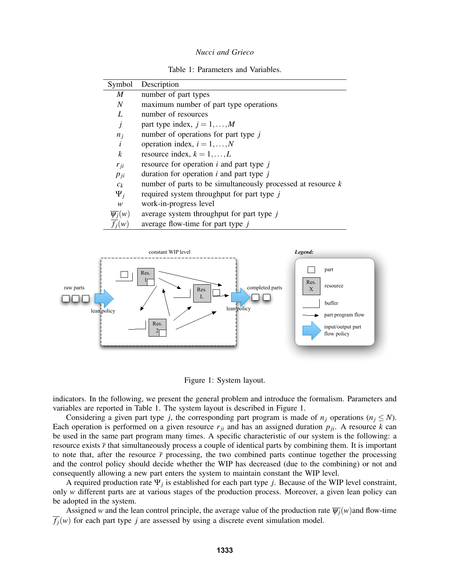Table 1: Parameters and Variables.

| Symbol                 | Description                                                    |
|------------------------|----------------------------------------------------------------|
| M                      | number of part types                                           |
| N                      | maximum number of part type operations                         |
| L                      | number of resources                                            |
| j                      | part type index, $j = 1, \ldots, M$                            |
| $n_j$                  | number of operations for part type $j$                         |
| $\dot{i}$              | operation index, $i = 1, , N$                                  |
| k                      | resource index, $k = 1, \ldots, L$                             |
| $r_{ji}$               | resource for operation $i$ and part type $j$                   |
| $p_{ji}$               | duration for operation $i$ and part type $j$                   |
| $c_k$                  | number of parts to be simultaneously processed at resource $k$ |
| $\Psi_i$               | required system throughput for part type j                     |
| W                      | work-in-progress level                                         |
| $\overline{\psi_i}(w)$ | average system throughput for part type $j$                    |
| $f_i(w)$               | average flow-time for part type $j$                            |





indicators. In the following, we present the general problem and introduce the formalism. Parameters and variables are reported in Table 1. The system layout is described in Figure 1.

Considering a given part type *j*, the corresponding part program is made of  $n_j$  operations ( $n_j \leq N$ ). Each operation is performed on a given resource  $r_{ji}$  and has an assigned duration  $p_{ji}$ . A resource  $k$  can be used in the same part program many times. A specific characteristic of our system is the following: a resource exists  $\bar{r}$  that simultaneously process a couple of identical parts by combining them. It is important to note that, after the resource  $\bar{r}$  processing, the two combined parts continue together the processing and the control policy should decide whether the WIP has decreased (due to the combining) or not and consequently allowing a new part enters the system to maintain constant the WIP level.

A required production rate Ψ*<sup>j</sup>* is established for each part type *j*. Because of the WIP level constraint, only *w* different parts are at various stages of the production process. Moreover, a given lean policy can be adopted in the system.

Assigned *w* and the lean control principle, the average value of the production rate  $\overline{\psi_i}(w)$  and flow-time  $\overline{f_i}(w)$  for each part type *j* are assessed by using a discrete event simulation model.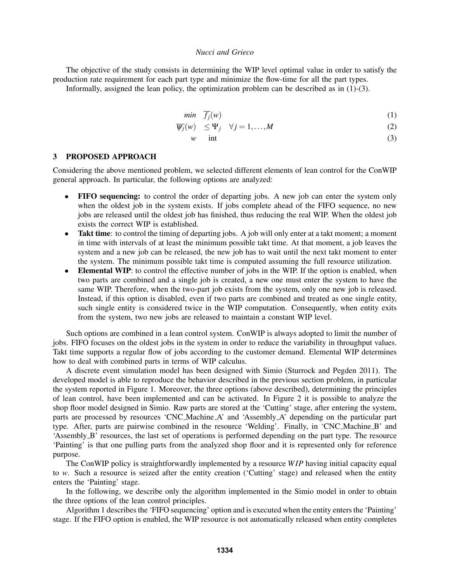The objective of the study consists in determining the WIP level optimal value in order to satisfy the production rate requirement for each part type and minimize the flow-time for all the part types.

Informally, assigned the lean policy, the optimization problem can be described as in  $(1)-(3)$ .

$$
min \quad \overline{f_j}(w) \tag{1}
$$

$$
\overline{\psi_j}(w) \le \Psi_j \quad \forall j = 1, \dots, M \tag{2}
$$

$$
w \quad \text{int} \tag{3}
$$

# 3 PROPOSED APPROACH

Considering the above mentioned problem, we selected different elements of lean control for the ConWIP general approach. In particular, the following options are analyzed:

- FIFO sequencing: to control the order of departing jobs. A new job can enter the system only when the oldest job in the system exists. If jobs complete ahead of the FIFO sequence, no new jobs are released until the oldest job has finished, thus reducing the real WIP. When the oldest job exists the correct WIP is established.
- Takt time: to control the timing of departing jobs. A job will only enter at a takt moment; a moment in time with intervals of at least the minimum possible takt time. At that moment, a job leaves the system and a new job can be released, the new job has to wait until the next takt moment to enter the system. The minimum possible takt time is computed assuming the full resource utilization.
- Elemental WIP: to control the effective number of jobs in the WIP. If the option is enabled, when two parts are combined and a single job is created, a new one must enter the system to have the same WIP. Therefore, when the two-part job exists from the system, only one new job is released. Instead, if this option is disabled, even if two parts are combined and treated as one single entity, such single entity is considered twice in the WIP computation. Consequently, when entity exits from the system, two new jobs are released to maintain a constant WIP level.

Such options are combined in a lean control system. ConWIP is always adopted to limit the number of jobs. FIFO focuses on the oldest jobs in the system in order to reduce the variability in throughput values. Takt time supports a regular flow of jobs according to the customer demand. Elemental WIP determines how to deal with combined parts in terms of WIP calculus.

A discrete event simulation model has been designed with Simio (Sturrock and Pegden 2011). The developed model is able to reproduce the behavior described in the previous section problem, in particular the system reported in Figure 1. Moreover, the three options (above described), determining the principles of lean control, have been implemented and can be activated. In Figure 2 it is possible to analyze the shop floor model designed in Simio. Raw parts are stored at the 'Cutting' stage, after entering the system, parts are processed by resources 'CNC Machine A' and 'Assembly A' depending on the particular part type. After, parts are pairwise combined in the resource 'Welding'. Finally, in 'CNC Machine B' and 'Assembly B' resources, the last set of operations is performed depending on the part type. The resource 'Painting' is that one pulling parts from the analyzed shop floor and it is represented only for reference purpose.

The ConWIP policy is straightforwardly implemented by a resource *W IP* having initial capacity equal to *w*. Such a resource is seized after the entity creation ('Cutting' stage) and released when the entity enters the 'Painting' stage.

In the following, we describe only the algorithm implemented in the Simio model in order to obtain the three options of the lean control principles.

Algorithm 1 describes the 'FIFO sequencing' option and is executed when the entity enters the 'Painting' stage. If the FIFO option is enabled, the WIP resource is not automatically released when entity completes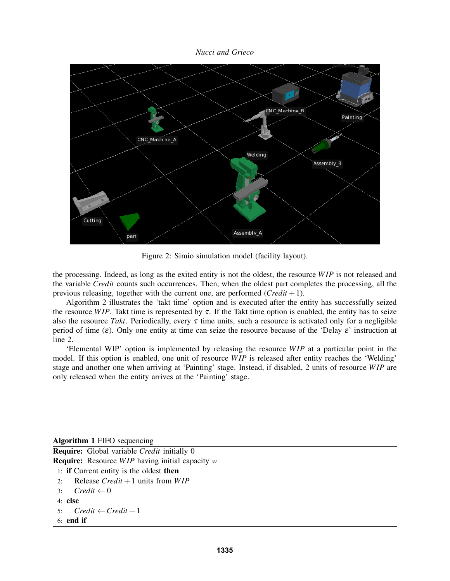

Figure 2: Simio simulation model (facility layout).

the processing. Indeed, as long as the exited entity is not the oldest, the resource *W IP* is not released and the variable *Credit* counts such occurrences. Then, when the oldest part completes the processing, all the previous releasing, together with the current one, are performed (*Credit* +1).

Algorithm 2 illustrates the 'takt time' option and is executed after the entity has successfully seized the resource *WIP*. Takt time is represented by  $\tau$ . If the Takt time option is enabled, the entity has to seize also the resource *Takt*. Periodically, every  $\tau$  time units, such a resource is activated only for a negligible period of time  $(\varepsilon)$ . Only one entity at time can seize the resource because of the 'Delay  $\varepsilon$ ' instruction at line 2.

'Elemental WIP' option is implemented by releasing the resource *W IP* at a particular point in the model. If this option is enabled, one unit of resource *WIP* is released after entity reaches the 'Welding' stage and another one when arriving at 'Painting' stage. Instead, if disabled, 2 units of resource *W IP* are only released when the entity arrives at the 'Painting' stage.

Algorithm 1 FIFO sequencing

Require: Global variable *Credit* initially 0

Require: Resource *W IP* having initial capacity *w*

- 1: if Current entity is the oldest then
- 2: Release *Credit* +1 units from *W IP*
- 3:  $Credit \leftarrow 0$
- 4: else

```
5: Credit \leftarrow Credit + 1
```
6: end if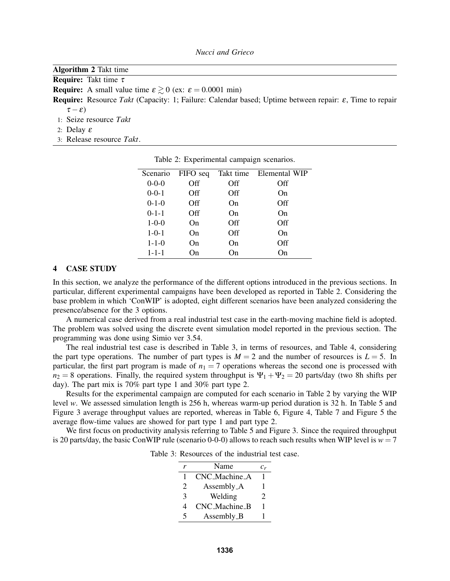| <b>Algorithm 2</b> Takt time                                                                                               |
|----------------------------------------------------------------------------------------------------------------------------|
| <b>Require:</b> Takt time $\tau$                                                                                           |
| <b>Require:</b> A small value time $\varepsilon \ge 0$ (ex: $\varepsilon = 0.0001$ min)                                    |
| <b>Require:</b> Resource Takt (Capacity: 1; Failure: Calendar based; Uptime between repair: $\varepsilon$ , Time to repair |
| $\tau-\varepsilon$ )                                                                                                       |
| 1: Seize resource Takt                                                                                                     |
| 2: Delay $\varepsilon$                                                                                                     |
| 3: Release resource Takt.                                                                                                  |
|                                                                                                                            |

| Scenario    | FIFO seq |     | Takt time Elemental WIP |
|-------------|----------|-----|-------------------------|
| $0 - 0 - 0$ | Off      | Off | Off                     |
| $0 - 0 - 1$ | Off      | Off | On                      |
| $0 - 1 - 0$ | Off      | On  | Off                     |
| $0 - 1 - 1$ | Off      | On  | On                      |
| $1 - 0 - 0$ | On       | Off | Off                     |
| $1 - 0 - 1$ | On       | Off | On                      |
| $1 - 1 - 0$ | On       | On  | Off                     |
| $1 - 1 - 1$ | On       | On  | On                      |

Table 2: Experimental campaign scenarios.

#### 4 CASE STUDY

In this section, we analyze the performance of the different options introduced in the previous sections. In particular, different experimental campaigns have been developed as reported in Table 2. Considering the base problem in which 'ConWIP' is adopted, eight different scenarios have been analyzed considering the presence/absence for the 3 options.

A numerical case derived from a real industrial test case in the earth-moving machine field is adopted. The problem was solved using the discrete event simulation model reported in the previous section. The programming was done using Simio ver 3.54.

The real industrial test case is described in Table 3, in terms of resources, and Table 4, considering the part type operations. The number of part types is  $M = 2$  and the number of resources is  $L = 5$ . In particular, the first part program is made of  $n_1 = 7$  operations whereas the second one is processed with  $n_2 = 8$  operations. Finally, the required system throughput is  $\Psi_1 + \Psi_2 = 20$  parts/day (two 8h shifts per day). The part mix is 70% part type 1 and 30% part type 2.

Results for the experimental campaign are computed for each scenario in Table 2 by varying the WIP level *w*. We assessed simulation length is 256 h, whereas warm-up period duration is 32 h. In Table 5 and Figure 3 average throughput values are reported, whereas in Table 6, Figure 4, Table 7 and Figure 5 the average flow-time values are showed for part type 1 and part type 2.

We first focus on productivity analysis referring to Table 5 and Figure 3. Since the required throughput is 20 parts/day, the basic ConWIP rule (scenario 0-0-0) allows to reach such results when WIP level is  $w = 7$ 

|   | Name          | $\it{c}_r$ |
|---|---------------|------------|
|   | CNC_Machine_A |            |
| 2 | Assembly_A    | 1          |
| 3 | Welding       | 2          |
| 4 | CNC_Machine_B | 1          |
| 5 | Assembly_B    |            |

Table 3: Resources of the industrial test case.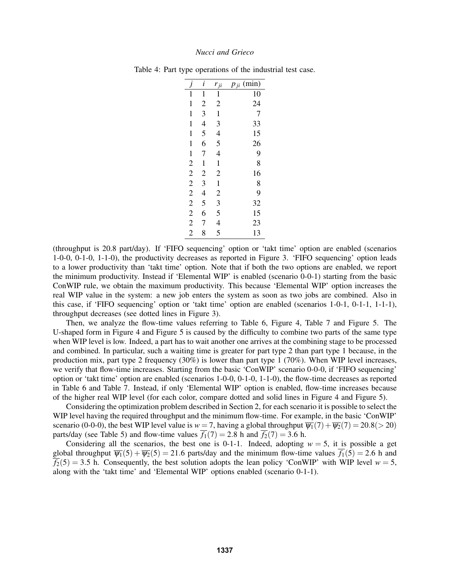|                  | $\dot{i}$                | $r_{ji}$       | (min)<br>$p_{ji}$ |
|------------------|--------------------------|----------------|-------------------|
| $\mathbf 1$      | $\mathbf{1}$             | $\mathbf{1}$   | 10                |
| $\mathbf{1}$     | $\overline{c}$           | $\overline{c}$ | 24                |
| $\mathbf 1$      | 3                        | $\mathbf{1}$   | $\overline{7}$    |
| $\mathbf 1$      | 4                        | 3              | 33                |
| $\mathbf{1}$     | 5                        | $\overline{4}$ | 15                |
| $\mathbf 1$      | 6                        | 5              | 26                |
| $\mathbf{1}$     | 7                        | $\overline{4}$ | 9<br>8            |
|                  | $\mathbf{1}$             | $\mathbf 1$    |                   |
|                  | $\overline{c}$           | $\overline{c}$ | 16                |
|                  | 3                        | $\mathbf{1}$   | 8<br>9            |
|                  | $\overline{\mathcal{L}}$ | $\overline{c}$ |                   |
|                  | 5                        |                | 32                |
| $22222$<br>$222$ | 6                        | $\frac{3}{5}$  | 15                |
|                  | 7                        | $\overline{4}$ | 23                |
| $\overline{c}$   | 8                        | 5              | 13                |

Table 4: Part type operations of the industrial test case.

(throughput is 20.8 part/day). If 'FIFO sequencing' option or 'takt time' option are enabled (scenarios 1-0-0, 0-1-0, 1-1-0), the productivity decreases as reported in Figure 3. 'FIFO sequencing' option leads to a lower productivity than 'takt time' option. Note that if both the two options are enabled, we report the minimum productivity. Instead if 'Elemental WIP' is enabled (scenario 0-0-1) starting from the basic ConWIP rule, we obtain the maximum productivity. This because 'Elemental WIP' option increases the real WIP value in the system: a new job enters the system as soon as two jobs are combined. Also in this case, if 'FIFO sequencing' option or 'takt time' option are enabled (scenarios 1-0-1, 0-1-1, 1-1-1), throughput decreases (see dotted lines in Figure 3).

Then, we analyze the flow-time values referring to Table 6, Figure 4, Table 7 and Figure 5. The U-shaped form in Figure 4 and Figure 5 is caused by the difficulty to combine two parts of the same type when WIP level is low. Indeed, a part has to wait another one arrives at the combining stage to be processed and combined. In particular, such a waiting time is greater for part type 2 than part type 1 because, in the production mix, part type 2 frequency  $(30\%)$  is lower than part type 1  $(70\%)$ . When WIP level increases, we verify that flow-time increases. Starting from the basic 'ConWIP' scenario 0-0-0, if 'FIFO sequencing' option or 'takt time' option are enabled (scenarios 1-0-0, 0-1-0, 1-1-0), the flow-time decreases as reported in Table 6 and Table 7. Instead, if only 'Elemental WIP' option is enabled, flow-time increases because of the higher real WIP level (for each color, compare dotted and solid lines in Figure 4 and Figure 5).

Considering the optimization problem described in Section 2, for each scenario it is possible to select the WIP level having the required throughput and the minimum flow-time. For example, in the basic 'ConWIP' scenario (0-0-0), the best WIP level value is  $w = 7$ , having a global throughput  $\overline{\psi_1}(7) + \overline{\psi_2}(7) = 20.8 (> 20)$ parts/day (see Table 5) and flow-time values  $\overline{f_1}(7) = 2.8$  h and  $\overline{f_2}(7) = 3.6$  h.

Considering all the scenarios, the best one is 0-1-1. Indeed, adopting  $w = 5$ , it is possible a get global throughput  $\overline{\psi_1}(5) + \overline{\psi_2}(5) = 21.6$  parts/day and the minimum flow-time values  $\overline{f_1}(5) = 2.6$  h and  $\overline{f_2}(5) = 3.5$  h. Consequently, the best solution adopts the lean policy 'ConWIP' with WIP level  $w = 5$ , along with the 'takt time' and 'Elemental WIP' options enabled (scenario 0-1-1).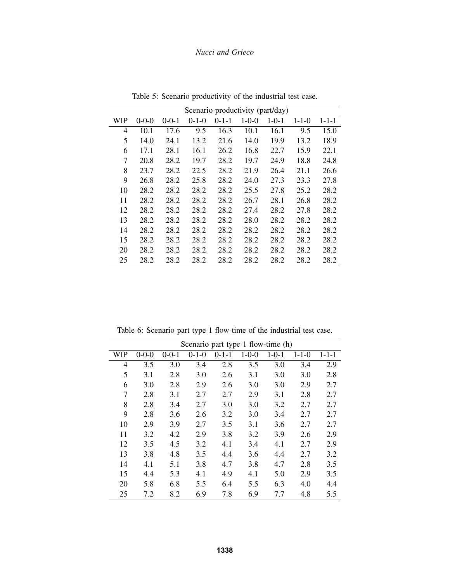|     | Scenario productivity (part/day) |             |             |             |             |             |             |             |
|-----|----------------------------------|-------------|-------------|-------------|-------------|-------------|-------------|-------------|
| WIP | $0 - 0 - 0$                      | $0 - 0 - 1$ | $0 - 1 - 0$ | $0 - 1 - 1$ | $1 - 0 - 0$ | $1 - 0 - 1$ | $1 - 1 - 0$ | $1 - 1 - 1$ |
| 4   | 10.1                             | 17.6        | 9.5         | 16.3        | 10.1        | 16.1        | 9.5         | 15.0        |
| 5   | 14.0                             | 24.1        | 13.2        | 21.6        | 14.0        | 19.9        | 13.2        | 18.9        |
| 6   | 17.1                             | 28.1        | 16.1        | 26.2        | 16.8        | 22.7        | 15.9        | 22.1        |
| 7   | 20.8                             | 28.2        | 19.7        | 28.2        | 19.7        | 24.9        | 18.8        | 24.8        |
| 8   | 23.7                             | 28.2        | 22.5        | 28.2        | 21.9        | 26.4        | 21.1        | 26.6        |
| 9   | 26.8                             | 28.2        | 25.8        | 28.2        | 24.0        | 27.3        | 23.3        | 27.8        |
| 10  | 28.2                             | 28.2        | 28.2        | 28.2        | 25.5        | 27.8        | 25.2        | 28.2        |
| 11  | 28.2                             | 28.2        | 28.2        | 28.2        | 26.7        | 28.1        | 26.8        | 28.2        |
| 12  | 28.2                             | 28.2        | 28.2        | 28.2        | 27.4        | 28.2        | 27.8        | 28.2        |
| 13  | 28.2                             | 28.2        | 28.2        | 28.2        | 28.0        | 28.2        | 28.2        | 28.2        |
| 14  | 28.2                             | 28.2        | 28.2        | 28.2        | 28.2        | 28.2        | 28.2        | 28.2        |
| 15  | 28.2                             | 28.2        | 28.2        | 28.2        | 28.2        | 28.2        | 28.2        | 28.2        |
| 20  | 28.2                             | 28.2        | 28.2        | 28.2        | 28.2        | 28.2        | 28.2        | 28.2        |
| 25  | 28.2                             | 28.2        | 28.2        | 28.2        | 28.2        | 28.2        | 28.2        | 28.2        |

Table 5: Scenario productivity of the industrial test case.

Table 6: Scenario part type 1 flow-time of the industrial test case.

| Scenario part type 1 flow-time (h) |             |         |             |             |             |             |             |             |
|------------------------------------|-------------|---------|-------------|-------------|-------------|-------------|-------------|-------------|
| <b>WIP</b>                         | $0 - 0 - 0$ | $0-0-1$ | $0 - 1 - 0$ | $0 - 1 - 1$ | $1 - 0 - 0$ | $1 - 0 - 1$ | $1 - 1 - 0$ | $1 - 1 - 1$ |
| 4                                  | 3.5         | 3.0     | 3.4         | 2.8         | 3.5         | 3.0         | 3.4         | 2.9         |
| 5                                  | 3.1         | 2.8     | 3.0         | 2.6         | 3.1         | 3.0         | 3.0         | 2.8         |
| 6                                  | 3.0         | 2.8     | 2.9         | 2.6         | 3.0         | 3.0         | 2.9         | 2.7         |
| 7                                  | 2.8         | 3.1     | 2.7         | 2.7         | 2.9         | 3.1         | 2.8         | 2.7         |
| 8                                  | 2.8         | 3.4     | 2.7         | 3.0         | 3.0         | 3.2         | 2.7         | 2.7         |
| 9                                  | 2.8         | 3.6     | 2.6         | 3.2         | 3.0         | 3.4         | 2.7         | 2.7         |
| 10                                 | 2.9         | 3.9     | 2.7         | 3.5         | 3.1         | 3.6         | 2.7         | 2.7         |
| 11                                 | 3.2         | 4.2     | 2.9         | 3.8         | 3.2         | 3.9         | 2.6         | 2.9         |
| 12                                 | 3.5         | 4.5     | 3.2         | 4.1         | 3.4         | 4.1         | 2.7         | 2.9         |
| 13                                 | 3.8         | 4.8     | 3.5         | 4.4         | 3.6         | 4.4         | 2.7         | 3.2         |
| 14                                 | 4.1         | 5.1     | 3.8         | 4.7         | 3.8         | 4.7         | 2.8         | 3.5         |
| 15                                 | 4.4         | 5.3     | 4.1         | 4.9         | 4.1         | 5.0         | 2.9         | 3.5         |
| 20                                 | 5.8         | 6.8     | 5.5         | 6.4         | 5.5         | 6.3         | 4.0         | 4.4         |
| 25                                 | 7.2         | 8.2     | 6.9         | 7.8         | 6.9         | 7.7         | 4.8         | 5.5         |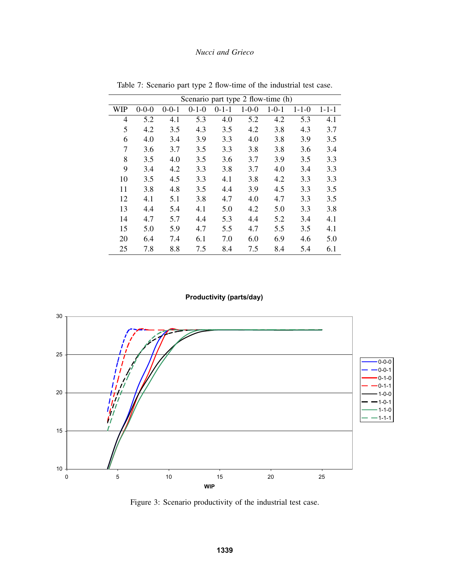|     | Scenario part type 2 flow-time (h) |             |             |             |             |             |             |             |
|-----|------------------------------------|-------------|-------------|-------------|-------------|-------------|-------------|-------------|
| WIP | $0 - 0 - 0$                        | $0 - 0 - 1$ | $0 - 1 - 0$ | $0 - 1 - 1$ | $1 - 0 - 0$ | $1 - 0 - 1$ | $1 - 1 - 0$ | $1 - 1 - 1$ |
| 4   | 5.2                                | 4.1         | 5.3         | 4.0         | 5.2         | 4.2         | 5.3         | 4.1         |
| 5   | 4.2                                | 3.5         | 4.3         | 3.5         | 4.2         | 3.8         | 4.3         | 3.7         |
| 6   | 4.0                                | 3.4         | 3.9         | 3.3         | 4.0         | 3.8         | 3.9         | 3.5         |
| 7   | 3.6                                | 3.7         | 3.5         | 3.3         | 3.8         | 3.8         | 3.6         | 3.4         |
| 8   | 3.5                                | 4.0         | 3.5         | 3.6         | 3.7         | 3.9         | 3.5         | 3.3         |
| 9   | 3.4                                | 4.2         | 3.3         | 3.8         | 3.7         | 4.0         | 3.4         | 3.3         |
| 10  | 3.5                                | 4.5         | 3.3         | 4.1         | 3.8         | 4.2         | 3.3         | 3.3         |
| 11  | 3.8                                | 4.8         | 3.5         | 4.4         | 3.9         | 4.5         | 3.3         | 3.5         |
| 12  | 4.1                                | 5.1         | 3.8         | 4.7         | 4.0         | 4.7         | 3.3         | 3.5         |
| 13  | 4.4                                | 5.4         | 4.1         | 5.0         | 4.2         | 5.0         | 3.3         | 3.8         |
| 14  | 4.7                                | 5.7         | 4.4         | 5.3         | 4.4         | 5.2         | 3.4         | 4.1         |
| 15  | 5.0                                | 5.9         | 4.7         | 5.5         | 4.7         | 5.5         | 3.5         | 4.1         |
| 20  | 6.4                                | 7.4         | 6.1         | 7.0         | 6.0         | 6.9         | 4.6         | 5.0         |
| 25  | 7.8                                | 8.8         | 7.5         | 8.4         | 7.5         | 8.4         | 5.4         | 6.1         |

Table 7: Scenario part type 2 flow-time of the industrial test case.

# **Productivity (parts/day)**



Figure 3: Scenario productivity of the industrial test case.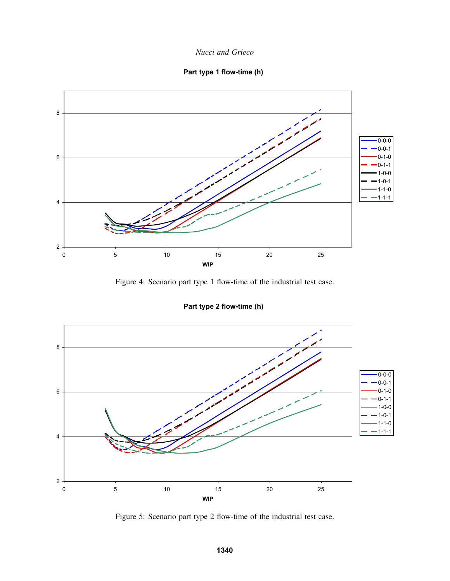*Nucci and Grieco*





Figure 4: Scenario part type 1 flow-time of the industrial test case.

**Part type 2 flow-time (h)**



Figure 5: Scenario part type 2 flow-time of the industrial test case.